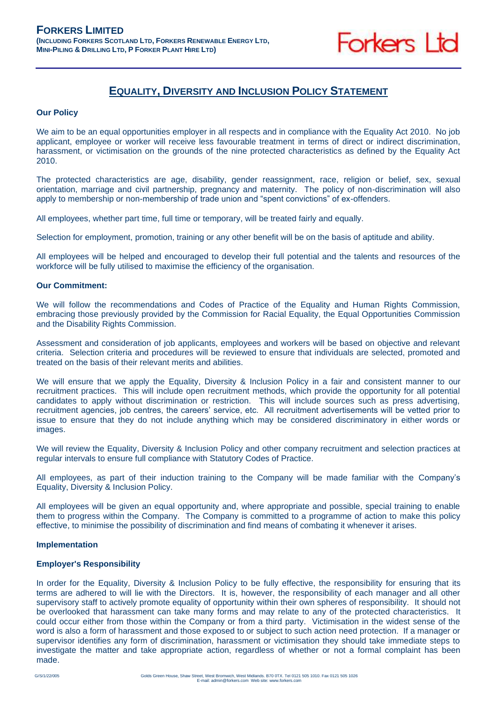

# **EQUALITY, DIVERSITY AND INCLUSION POLICY STATEMENT**

## **Our Policy**

We aim to be an equal opportunities employer in all respects and in compliance with the Equality Act 2010. No job applicant, employee or worker will receive less favourable treatment in terms of direct or indirect discrimination, harassment, or victimisation on the grounds of the nine protected characteristics as defined by the Equality Act 2010.

The protected characteristics are age, disability, gender reassignment, race, religion or belief, sex, sexual orientation, marriage and civil partnership, pregnancy and maternity. The policy of non-discrimination will also apply to membership or non-membership of trade union and "spent convictions" of ex-offenders.

All employees, whether part time, full time or temporary, will be treated fairly and equally.

Selection for employment, promotion, training or any other benefit will be on the basis of aptitude and ability.

All employees will be helped and encouraged to develop their full potential and the talents and resources of the workforce will be fully utilised to maximise the efficiency of the organisation.

# **Our Commitment:**

We will follow the recommendations and Codes of Practice of the Equality and Human Rights Commission, embracing those previously provided by the Commission for Racial Equality, the Equal Opportunities Commission and the Disability Rights Commission.

Assessment and consideration of job applicants, employees and workers will be based on objective and relevant criteria. Selection criteria and procedures will be reviewed to ensure that individuals are selected, promoted and treated on the basis of their relevant merits and abilities.

We will ensure that we apply the Equality, Diversity & Inclusion Policy in a fair and consistent manner to our recruitment practices. This will include open recruitment methods, which provide the opportunity for all potential candidates to apply without discrimination or restriction. This will include sources such as press advertising, recruitment agencies, job centres, the careers' service, etc. All recruitment advertisements will be vetted prior to issue to ensure that they do not include anything which may be considered discriminatory in either words or images.

We will review the Equality, Diversity & Inclusion Policy and other company recruitment and selection practices at regular intervals to ensure full compliance with Statutory Codes of Practice.

All employees, as part of their induction training to the Company will be made familiar with the Company's Equality, Diversity & Inclusion Policy.

All employees will be given an equal opportunity and, where appropriate and possible, special training to enable them to progress within the Company. The Company is committed to a programme of action to make this policy effective, to minimise the possibility of discrimination and find means of combating it whenever it arises.

#### **Implementation**

# **Employer's Responsibility**

In order for the Equality, Diversity & Inclusion Policy to be fully effective, the responsibility for ensuring that its terms are adhered to will lie with the Directors. It is, however, the responsibility of each manager and all other supervisory staff to actively promote equality of opportunity within their own spheres of responsibility. It should not be overlooked that harassment can take many forms and may relate to any of the protected characteristics. It could occur either from those within the Company or from a third party. Victimisation in the widest sense of the word is also a form of harassment and those exposed to or subject to such action need protection. If a manager or supervisor identifies any form of discrimination, harassment or victimisation they should take immediate steps to investigate the matter and take appropriate action, regardless of whether or not a formal complaint has been made.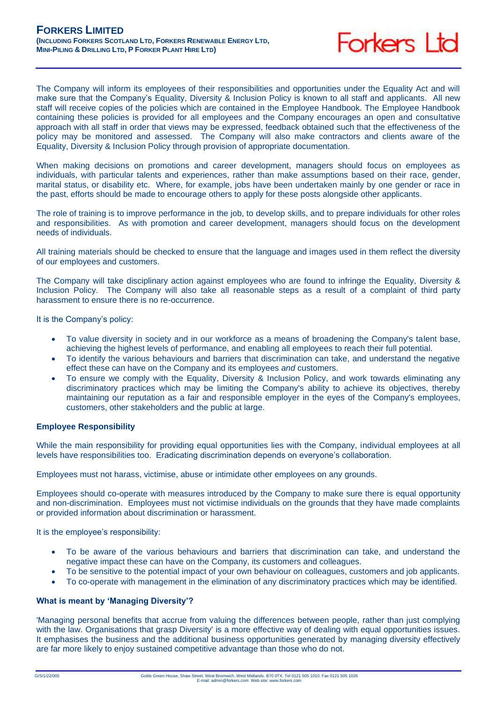The Company will inform its employees of their responsibilities and opportunities under the Equality Act and will make sure that the Company's Equality, Diversity & Inclusion Policy is known to all staff and applicants. All new staff will receive copies of the policies which are contained in the Employee Handbook. The Employee Handbook containing these policies is provided for all employees and the Company encourages an open and consultative approach with all staff in order that views may be expressed, feedback obtained such that the effectiveness of the policy may be monitored and assessed. The Company will also make contractors and clients aware of the Equality, Diversity & Inclusion Policy through provision of appropriate documentation.

When making decisions on promotions and career development, managers should focus on employees as individuals, with particular talents and experiences, rather than make assumptions based on their race, gender, marital status, or disability etc. Where, for example, jobs have been undertaken mainly by one gender or race in the past, efforts should be made to encourage others to apply for these posts alongside other applicants.

The role of training is to improve performance in the job, to develop skills, and to prepare individuals for other roles and responsibilities. As with promotion and career development, managers should focus on the development needs of individuals.

All training materials should be checked to ensure that the language and images used in them reflect the diversity of our employees and customers.

The Company will take disciplinary action against employees who are found to infringe the Equality, Diversity & Inclusion Policy. The Company will also take all reasonable steps as a result of a complaint of third party harassment to ensure there is no re-occurrence.

It is the Company's policy:

- To value diversity in society and in our workforce as a means of broadening the Company's talent base, achieving the highest levels of performance, and enabling all employees to reach their full potential.
- To identify the various behaviours and barriers that discrimination can take, and understand the negative effect these can have on the Company and its employees *and* customers.
- To ensure we comply with the Equality, Diversity & Inclusion Policy, and work towards eliminating any discriminatory practices which may be limiting the Company's ability to achieve its objectives, thereby maintaining our reputation as a fair and responsible employer in the eyes of the Company's employees, customers, other stakeholders and the public at large.

# **Employee Responsibility**

While the main responsibility for providing equal opportunities lies with the Company, individual employees at all levels have responsibilities too. Eradicating discrimination depends on everyone's collaboration.

Employees must not harass, victimise, abuse or intimidate other employees on any grounds.

Employees should co-operate with measures introduced by the Company to make sure there is equal opportunity and non-discrimination. Employees must not victimise individuals on the grounds that they have made complaints or provided information about discrimination or harassment.

It is the employee's responsibility:

- To be aware of the various behaviours and barriers that discrimination can take, and understand the negative impact these can have on the Company, its customers and colleagues.
- To be sensitive to the potential impact of your own behaviour on colleagues, customers and job applicants.
- To co-operate with management in the elimination of any discriminatory practices which may be identified.

# **What is meant by 'Managing Diversity'?**

'Managing personal benefits that accrue from valuing the differences between people, rather than just complying with the law. Organisations that grasp Diversity' is a more effective way of dealing with equal opportunities issues. It emphasises the business and the additional business opportunities generated by managing diversity effectively are far more likely to enjoy sustained competitive advantage than those who do not.